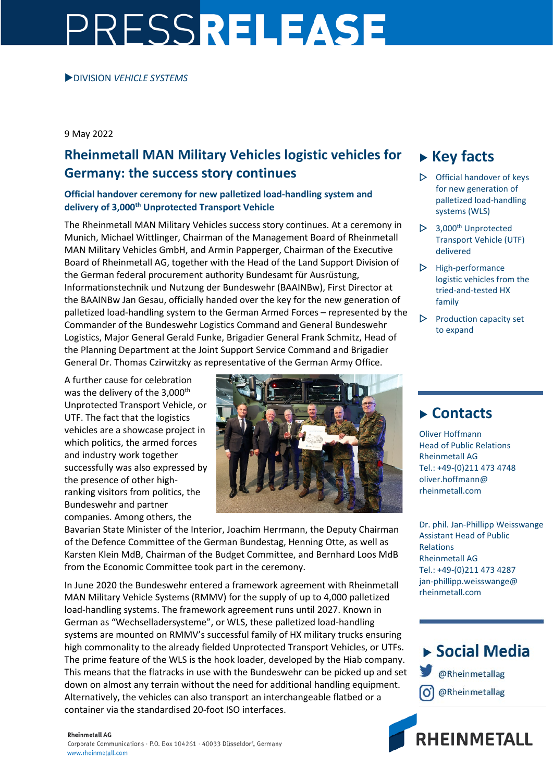# PRESSRELEASE

### DIVISION *VEHICLE SYSTEMS*

9 May 2022

# **Rheinmetall MAN Military Vehicles logistic vehicles for Germany: the success story continues**

## **Official handover ceremony for new palletized load-handling system and delivery of 3,000th Unprotected Transport Vehicle**

The Rheinmetall MAN Military Vehicles success story continues. At a ceremony in Munich, Michael Wittlinger, Chairman of the Management Board of Rheinmetall MAN Military Vehicles GmbH, and Armin Papperger, Chairman of the Executive Board of Rheinmetall AG, together with the Head of the Land Support Division of the German federal procurement authority Bundesamt für Ausrüstung, Informationstechnik und Nutzung der Bundeswehr (BAAINBw), First Director at the BAAINBw Jan Gesau, officially handed over the key for the new generation of palletized load-handling system to the German Armed Forces – represented by the Commander of the Bundeswehr Logistics Command and General Bundeswehr Logistics, Major General Gerald Funke, Brigadier General Frank Schmitz, Head of the Planning Department at the Joint Support Service Command and Brigadier General Dr. Thomas Czirwitzky as representative of the German Army Office.

A further cause for celebration was the delivery of the 3,000<sup>th</sup> Unprotected Transport Vehicle, or UTF. The fact that the logistics vehicles are a showcase project in which politics, the armed forces and industry work together successfully was also expressed by the presence of other highranking visitors from politics, the Bundeswehr and partner companies. Among others, the



Bavarian State Minister of the Interior, Joachim Herrmann, the Deputy Chairman of the Defence Committee of the German Bundestag, Henning Otte, as well as Karsten Klein MdB, Chairman of the Budget Committee, and Bernhard Loos MdB from the Economic Committee took part in the ceremony.

In June 2020 the Bundeswehr entered a framework agreement with Rheinmetall MAN Military Vehicle Systems (RMMV) for the supply of up to 4,000 palletized load-handling systems. The framework agreement runs until 2027. Known in German as "Wechselladersysteme", or WLS, these palletized load-handling systems are mounted on RMMV's successful family of HX military trucks ensuring high commonality to the already fielded Unprotected Transport Vehicles, or UTFs. The prime feature of the WLS is the hook loader, developed by the Hiab company. This means that the flatracks in use with the Bundeswehr can be picked up and set down on almost any terrain without the need for additional handling equipment. Alternatively, the vehicles can also transport an interchangeable flatbed or a container via the standardised 20-foot ISO interfaces.

# **Key facts**

- $\triangleright$  Official handover of keys for new generation of palletized load-handling systems (WLS)
- $\triangleright$  3,000<sup>th</sup> Unprotected Transport Vehicle (UTF) delivered
- $\triangleright$  High-performance logistic vehicles from the tried-and-tested HX family
- $\triangleright$  Production capacity set to expand

## **Contacts**

Oliver Hoffmann Head of Public Relations Rheinmetall AG Tel.: +49-(0)211 473 4748 oliver.hoffmann@ rheinmetall.com

Dr. phil. Jan-Phillipp Weisswange Assistant Head of Public Relations Rheinmetall AG Tel.: +49-(0)211 473 4287 jan-phillipp.weisswange@ rheinmetall.com

▶ Social Media @Rheinmetallag @Rheinmetallag



#### **Rheinmetall AG**

Corporate Communications · P.O. Box 104261 · 40033 Düsseldorf, Germany www.rheinmetall.com